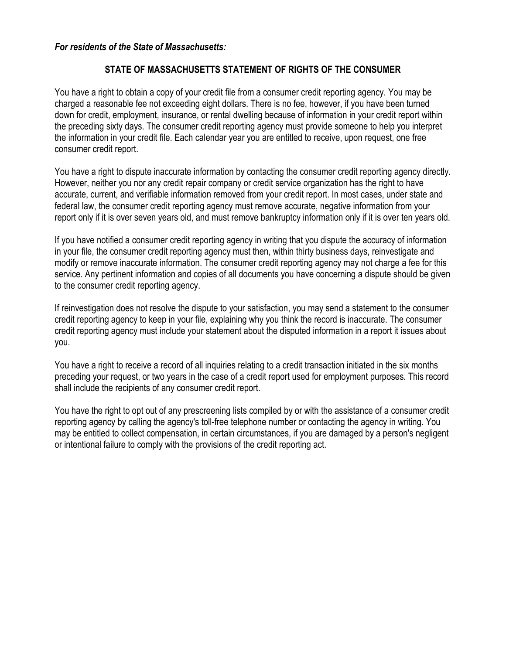## For residents of the State of Massachusetts:

## STATE OF MASSACHUSETTS STATEMENT OF RIGHTS OF THE CONSUMER

You have a right to obtain a copy of your credit file from a consumer credit reporting agency. You may be charged a reasonable fee not exceeding eight dollars. There is no fee, however, if you have been turned down for credit, employment, insurance, or rental dwelling because of information in your credit report within the preceding sixty days. The consumer credit reporting agency must provide someone to help you interpret the information in your credit file. Each calendar year you are entitled to receive, upon request, one free consumer credit report.

You have a right to dispute inaccurate information by contacting the consumer credit reporting agency directly. However, neither you nor any credit repair company or credit service organization has the right to have accurate, current, and verifiable information removed from your credit report. In most cases, under state and federal law, the consumer credit reporting agency must remove accurate, negative information from your report only if it is over seven years old, and must remove bankruptcy information only if it is over ten years old.

If you have notified a consumer credit reporting agency in writing that you dispute the accuracy of information in your file, the consumer credit reporting agency must then, within thirty business days, reinvestigate and modify or remove inaccurate information. The consumer credit reporting agency may not charge a fee for this service. Any pertinent information and copies of all documents you have concerning a dispute should be given to the consumer credit reporting agency.

If reinvestigation does not resolve the dispute to your satisfaction, you may send a statement to the consumer credit reporting agency to keep in your file, explaining why you think the record is inaccurate. The consumer credit reporting agency must include your statement about the disputed information in a report it issues about you.

You have a right to receive a record of all inquiries relating to a credit transaction initiated in the six months preceding your request, or two years in the case of a credit report used for employment purposes. This record shall include the recipients of any consumer credit report.

You have the right to opt out of any prescreening lists compiled by or with the assistance of a consumer credit reporting agency by calling the agency's toll-free telephone number or contacting the agency in writing. You may be entitled to collect compensation, in certain circumstances, if you are damaged by a person's negligent or intentional failure to comply with the provisions of the credit reporting act.